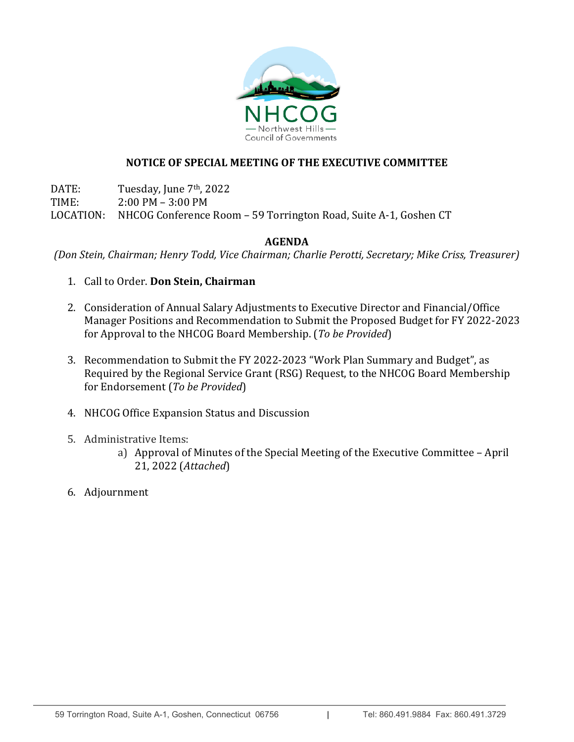

# **NOTICE OF SPECIAL MEETING OF THE EXECUTIVE COMMITTEE**

DATE: Tuesday, June 7<sup>th</sup>, 2022<br>TIME: 2:00 PM - 3:00 PM  $2:00$  PM –  $3:00$  PM LOCATION: NHCOG Conference Room – 59 Torrington Road, Suite A-1, Goshen CT

# **AGENDA**

*(Don Stein, Chairman; Henry Todd, Vice Chairman; Charlie Perotti, Secretary; Mike Criss, Treasurer)*

- 1. Call to Order. **Don Stein, Chairman**
- 2. Consideration of Annual Salary Adjustments to Executive Director and Financial/Office Manager Positions and Recommendation to Submit the Proposed Budget for FY 2022-2023 for Approval to the NHCOG Board Membership. (*To be Provided*)
- 3. Recommendation to Submit the FY 2022-2023 "Work Plan Summary and Budget", as Required by the Regional Service Grant (RSG) Request, to the NHCOG Board Membership for Endorsement (*To be Provided*)
- 4. NHCOG Office Expansion Status and Discussion
- 5. Administrative Items:
	- a) Approval of Minutes of the Special Meeting of the Executive Committee April 21, 2022 (*Attached*)
- 6. Adjournment